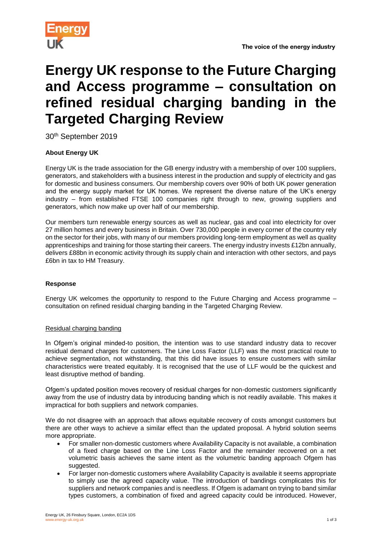

# **Energy UK response to the Future Charging and Access programme – consultation on refined residual charging banding in the Targeted Charging Review**

30th September 2019

## **About Energy UK**

Energy UK is the trade association for the GB energy industry with a membership of over 100 suppliers, generators, and stakeholders with a business interest in the production and supply of electricity and gas for domestic and business consumers. Our membership covers over 90% of both UK power generation and the energy supply market for UK homes. We represent the diverse nature of the UK's energy industry – from established FTSE 100 companies right through to new, growing suppliers and generators, which now make up over half of our membership.

Our members turn renewable energy sources as well as nuclear, gas and coal into electricity for over 27 million homes and every business in Britain. Over 730,000 people in every corner of the country rely on the sector for their jobs, with many of our members providing long-term employment as well as quality apprenticeships and training for those starting their careers. The energy industry invests £12bn annually, delivers £88bn in economic activity through its supply chain and interaction with other sectors, and pays £6bn in tax to HM Treasury.

### **Response**

Energy UK welcomes the opportunity to respond to the Future Charging and Access programme – consultation on refined residual charging banding in the Targeted Charging Review.

### Residual charging banding

In Ofgem's original minded-to position, the intention was to use standard industry data to recover residual demand charges for customers. The Line Loss Factor (LLF) was the most practical route to achieve segmentation, not withstanding, that this did have issues to ensure customers with similar characteristics were treated equitably. It is recognised that the use of LLF would be the quickest and least disruptive method of banding.

Ofgem's updated position moves recovery of residual charges for non-domestic customers significantly away from the use of industry data by introducing banding which is not readily available. This makes it impractical for both suppliers and network companies.

We do not disagree with an approach that allows equitable recovery of costs amongst customers but there are other ways to achieve a similar effect than the updated proposal. A hybrid solution seems more appropriate.

- For smaller non-domestic customers where Availability Capacity is not available, a combination of a fixed charge based on the Line Loss Factor and the remainder recovered on a net volumetric basis achieves the same intent as the volumetric banding approach Ofgem has suggested.
- For larger non-domestic customers where Availability Capacity is available it seems appropriate to simply use the agreed capacity value. The introduction of bandings complicates this for suppliers and network companies and is needless. If Ofgem is adamant on trying to band similar types customers, a combination of fixed and agreed capacity could be introduced. However,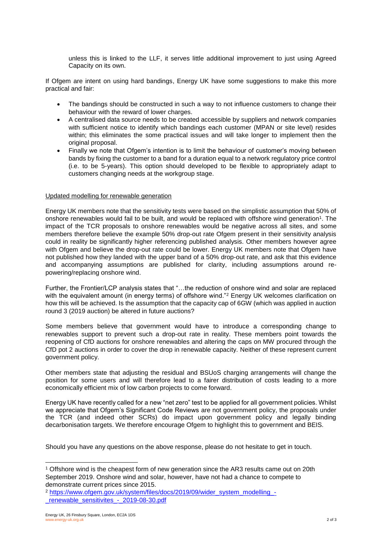unless this is linked to the LLF, it serves little additional improvement to just using Agreed Capacity on its own.

If Ofgem are intent on using hard bandings, Energy UK have some suggestions to make this more practical and fair:

- The bandings should be constructed in such a way to not influence customers to change their behaviour with the reward of lower charges.
- A centralised data source needs to be created accessible by suppliers and network companies with sufficient notice to identify which bandings each customer (MPAN or site level) resides within; this eliminates the some practical issues and will take longer to implement then the original proposal.
- Finally we note that Ofgem's intention is to limit the behaviour of customer's moving between bands by fixing the customer to a band for a duration equal to a network regulatory price control (i.e. to be 5-years). This option should developed to be flexible to appropriately adapt to customers changing needs at the workgroup stage.

#### Updated modelling for renewable generation

Energy UK members note that the sensitivity tests were based on the simplistic assumption that 50% of onshore renewables would fail to be built, and would be replaced with offshore wind generation<sup>1</sup>. The impact of the TCR proposals to onshore renewables would be negative across all sites, and some members therefore believe the example 50% drop-out rate Ofgem present in their sensitivity analysis could in reality be significantly higher referencing published analysis. Other members however agree with Ofgem and believe the drop-out rate could be lower. Energy UK members note that Ofgem have not published how they landed with the upper band of a 50% drop-out rate, and ask that this evidence and accompanying assumptions are published for clarity, including assumptions around repowering/replacing onshore wind.

Further, the Frontier/LCP analysis states that "…the reduction of onshore wind and solar are replaced with the equivalent amount (in energy terms) of offshore wind."<sup>2</sup> Energy UK welcomes clarification on how this will be achieved. Is the assumption that the capacity cap of 6GW (which was applied in auction round 3 (2019 auction) be altered in future auctions?

Some members believe that government would have to introduce a corresponding change to renewables support to prevent such a drop-out rate in reality. These members point towards the reopening of CfD auctions for onshore renewables and altering the caps on MW procured through the CfD pot 2 auctions in order to cover the drop in renewable capacity. Neither of these represent current government policy.

Other members state that adjusting the residual and BSUoS charging arrangements will change the position for some users and will therefore lead to a fairer distribution of costs leading to a more economically efficient mix of low carbon projects to come forward.

Energy UK have recently called for a new "net zero" test to be applied for all government policies. Whilst we appreciate that Ofgem's Significant Code Reviews are not government policy, the proposals under the TCR (and indeed other SCRs) do impact upon government policy and legally binding decarbonisation targets. We therefore encourage Ofgem to highlight this to government and BEIS.

Should you have any questions on the above response, please do not hesitate to get in touch.

l

<sup>1</sup> Offshore wind is the cheapest form of new generation since the AR3 results came out on 20th September 2019. Onshore wind and solar, however, have not had a chance to compete to demonstrate current prices since 2015.

<sup>2</sup> [https://www.ofgem.gov.uk/system/files/docs/2019/09/wider\\_system\\_modelling\\_-](https://www.ofgem.gov.uk/system/files/docs/2019/09/wider_system_modelling_-_renewable_sensitivites_-_2019-08-30.pdf) [\\_renewable\\_sensitivites\\_-\\_2019-08-30.pdf](https://www.ofgem.gov.uk/system/files/docs/2019/09/wider_system_modelling_-_renewable_sensitivites_-_2019-08-30.pdf)